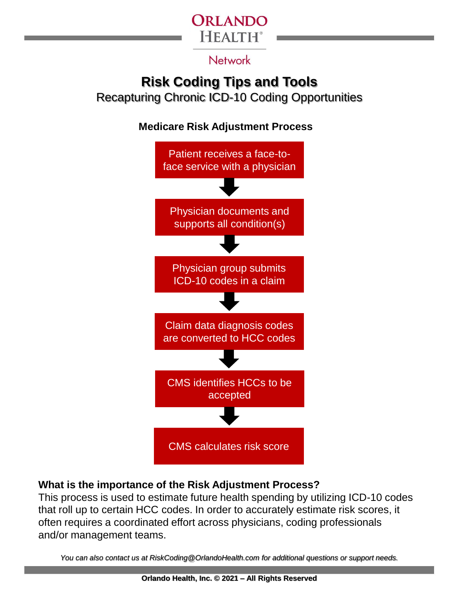

#### **Network**

# **Risk Coding Tips and Tools**

Recapturing Chronic ICD-10 Coding Opportunities

**Medicare Risk Adjustment Process**



### **What is the importance of the Risk Adjustment Process?**

This process is used to estimate future health spending by utilizing ICD-10 codes that roll up to certain HCC codes. In order to accurately estimate risk scores, it often requires a coordinated effort across physicians, coding professionals and/or management teams.

*You can also contact us at RiskCoding@OrlandoHealth.com for additional questions or support needs.*